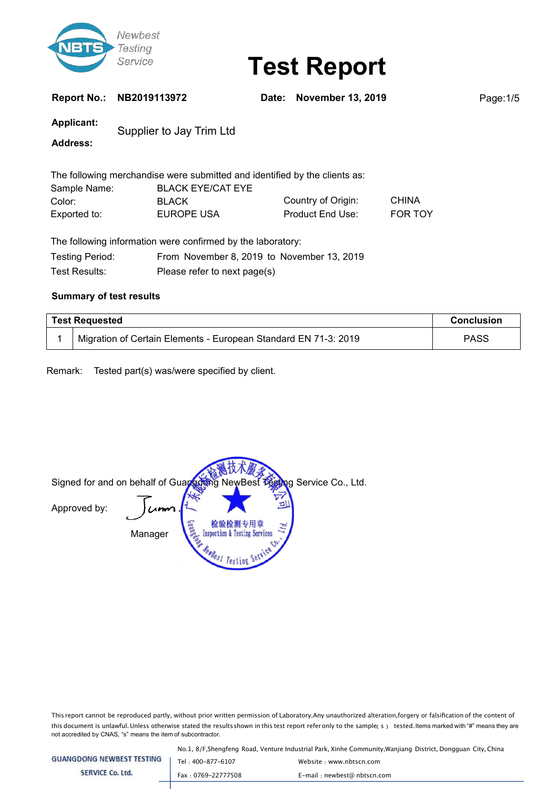

**Report No.: NB2019113972 Date: November 13, 2019** Page:1/5

**Applicant:** Supplier to Jay Trim Ltd

**Address:**

|              | The following merchandise were submitted and identified by the clients as: |                    |                |
|--------------|----------------------------------------------------------------------------|--------------------|----------------|
| Sample Name: | <b>BLACK EYE/CAT EYE</b>                                                   |                    |                |
| Color:       | <b>BLACK</b>                                                               | Country of Origin: | <b>CHINA</b>   |
| Exported to: | EUROPE USA                                                                 | Product End Use:   | <b>FOR TOY</b> |

|                 | The following information were confirmed by the laboratory: |
|-----------------|-------------------------------------------------------------|
| Testing Period: | From November 8, 2019 to November 13, 2019                  |
| Test Results:   | Please refer to next page(s)                                |

### **Summary of test results**

| <b>Test Requested</b>                                           | Conclusion  |
|-----------------------------------------------------------------|-------------|
| Migration of Certain Elements - European Standard EN 71-3: 2019 | <b>PASS</b> |

Remark: Tested part(s) was/were specified by client.

Signed for and on behalf of Guangdong NewBest Testing Service Co., Ltd. Approved by: 피 检验检测专用章<br>Inspection & Testing Services Manager **PRest Testing Serve** 

This report cannot be reproduced partly, without prior written permission of Laboratory.Any unauthorized alteration,forgery or falsification of the content of this document is unlawful. Unless otherwise stated the results shown in this test report refer only to the sample(s) tested. Items marked with "#" means they are not accredited by CNAS, "s" means the item of subcontractor.

No.1, 8/F,Shengfeng Road, Venture Industrial Park, Xinhe Community,Wanjiang District, Dongguan City, China

| <b>GUANGDONG NEWBEST TESTING</b> | Tel: 400-877-6107  | Website : www.nbtscn.com    |  |
|----------------------------------|--------------------|-----------------------------|--|
| SERVICE Co. Ltd.                 | Fax: 0769-22777508 | E-mail: newbest@ nbtscn.com |  |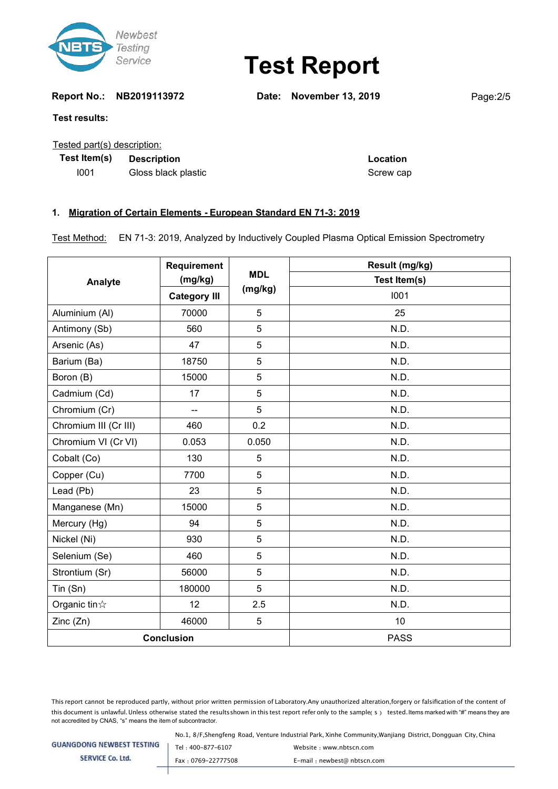

**Report No.: NB2019113972 Date: November 13, 2019** Page:2/5

**Test results:**

#### Tested part(s) description:

**Test Item(s) Description Location**

I001 Gloss black plastic Screw cap

### **1. Migration of Certain Elements - European Standard EN 71-3: 2019**

Test Method: EN 71-3: 2019, Analyzed by Inductively Coupled Plasma Optical Emission Spectrometry

|                       | Requirement         | <b>MDL</b><br>(mg/kg) | Result (mg/kg) |  |
|-----------------------|---------------------|-----------------------|----------------|--|
| Analyte               | (mg/kg)             |                       | Test Item(s)   |  |
|                       | <b>Category III</b> |                       | 1001           |  |
| Aluminium (AI)        | 70000               | 5                     | 25             |  |
| Antimony (Sb)         | 560                 | 5                     | N.D.           |  |
| Arsenic (As)          | 47                  | 5                     | N.D.           |  |
| Barium (Ba)           | 18750               | 5                     | N.D.           |  |
| Boron (B)             | 15000               | 5                     | N.D.           |  |
| Cadmium (Cd)          | 17                  | 5                     | N.D.           |  |
| Chromium (Cr)         | $-$                 | 5                     | N.D.           |  |
| Chromium III (Cr III) | 460                 | 0.2                   | N.D.           |  |
| Chromium VI (Cr VI)   | 0.053               | 0.050                 | N.D.           |  |
| Cobalt (Co)           | 130                 | 5                     | N.D.           |  |
| Copper (Cu)           | 7700                | 5                     | N.D.           |  |
| Lead (Pb)             | 23                  | 5                     | N.D.           |  |
| Manganese (Mn)        | 15000               | 5                     | N.D.           |  |
| Mercury (Hg)          | 94                  | 5                     | N.D.           |  |
| Nickel (Ni)           | 930                 | 5                     | N.D.           |  |
| Selenium (Se)         | 460                 | 5                     | N.D.           |  |
| Strontium (Sr)        | 56000               | 5                     | N.D.           |  |
| Tin (Sn)              | 180000              | 5                     | N.D.           |  |
| Organic tin $\&$      | 12                  | 2.5                   | N.D.           |  |
| Zinc(Zn)              | 46000               | 5                     | 10             |  |
| <b>Conclusion</b>     |                     |                       | <b>PASS</b>    |  |

This report cannot be reproduced partly, without prior written permission of Laboratory.Any unauthorized alteration,forgery or falsification of the content of this document is unlawful. Unless otherwise stated the results shown in this test report refer only to the sample(s) tested. Items marked with "#" means they are not accredited by CNAS, "s" means the item of subcontractor.

No.1, 8/F,Shengfeng Road, Venture Industrial Park, Xinhe Community,Wanjiang District, Dongguan City, China

| ESTING | Tel: 400-877-6107  | Website: www.nbtscn.com     |
|--------|--------------------|-----------------------------|
|        | Fax: 0769-22777508 | E-mail: newbest@ nbtscn.com |
|        |                    |                             |

**GUANGDONG NEWBEST TI** 

**SERVICE Co. Ltd.**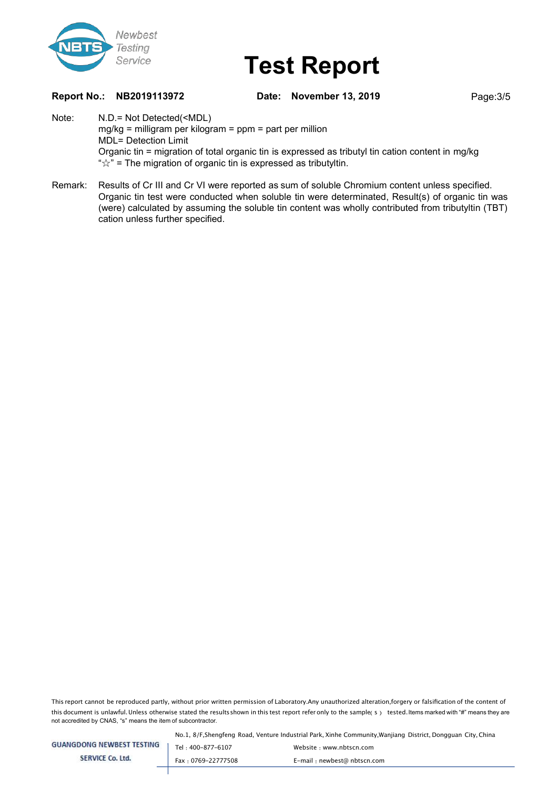

#### **Report No.: NB2019113972 Date: November 13, 2019** Page:3/5

- Note: N.D.= Not Detected(<MDL) mg/kg = milligram per kilogram = ppm = part per million MDL= Detection Limit Organic tin = migration of total organic tin is expressed as tributyl tin cation content in mg/kg " $\forall$ " = The migration of organic tin is expressed as tributyltin.
- Remark: Results of Cr III and Cr VI were reported as sum of soluble Chromium content unless specified. Organic tin test were conducted when soluble tin were determinated, Result(s) of organic tin was (were) calculated by assuming the soluble tin content was wholly contributed from tributyltin (TBT) cation unless further specified.

This report cannot be reproduced partly, without prior written permission of Laboratory.Any unauthorized alteration,forgery or falsification of the content of this document is unlawful. Unless otherwise stated the results shown in this test report refer only to the sample(s) tested. Items marked with "#" means they are not accredited by CNAS, "s" means the item of subcontractor.

No.1, 8/F,Shengfeng Road, Venture Industrial Park, Xinhe Community,Wanjiang District, Dongguan City, China

| GUANGDONG NEWBEST TESTING | Tel: 400-877-6107  | Website : www.nbtscn.com    |
|---------------------------|--------------------|-----------------------------|
| <b>SERVICE Co. Ltd.</b>   | Fax: 0769-22777508 | E-mail: newbest@ nbtscn.com |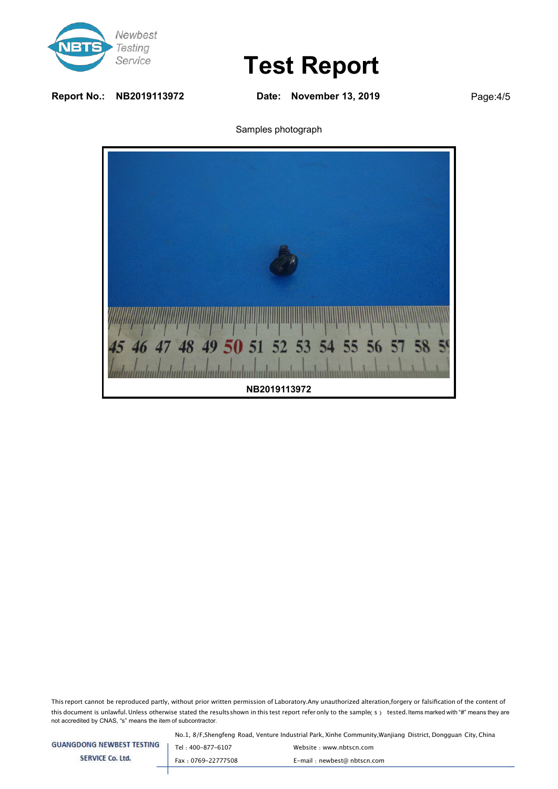

**Report No.: NB2019113972 Date: November 13, 2019** Page:4/5

Samples photograph



This report cannot be reproduced partly, without prior written permission of Laboratory.Any unauthorized alteration,forgery or falsification of the content of this document is unlawful. Unless otherwise stated the results shown in this test report refer only to the sample(s) tested. Items marked with "#" means they are not accredited by CNAS, "s" means the item of subcontractor.

No.1, 8/F,Shengfeng Road, Venture Industrial Park, Xinhe Community,Wanjiang District, Dongguan City, China

| GUANGDONG NEWBEST TESTING |  |  |
|---------------------------|--|--|
|                           |  |  |

**SERVICE Co. Ltd.** 

Tel: 400-877-6107 Website: www.nbtscn.com Fax : 0769-22777508 E-mail : newbest@ nbtscn.com